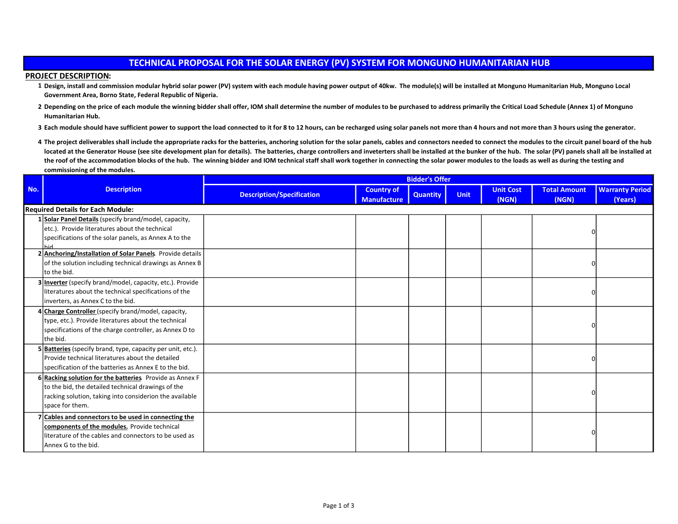| <b>PROJECT DESCRIPTION:</b>                                                                                                                                                                                                                                    |                                                                                                                                                                                                                        |                                                                                                                 |                    |                 |             |       |          |         |  |
|----------------------------------------------------------------------------------------------------------------------------------------------------------------------------------------------------------------------------------------------------------------|------------------------------------------------------------------------------------------------------------------------------------------------------------------------------------------------------------------------|-----------------------------------------------------------------------------------------------------------------|--------------------|-----------------|-------------|-------|----------|---------|--|
| 1 Design, install and commission modular hybrid solar power (PV) system with each module having power output of 40kw. The module(s) will be installed at Monguno Humanitarian Hub, Monguno Local<br>Government Area, Borno State, Federal Republic of Nigeria. |                                                                                                                                                                                                                        |                                                                                                                 |                    |                 |             |       |          |         |  |
|                                                                                                                                                                                                                                                                | 2 Depending on the price of each module the winning bidder shall offer, IOM shall determine the number of modules to be purchased to address primarily the Critical Load Schedule (Annex 1) of Monguno                 |                                                                                                                 |                    |                 |             |       |          |         |  |
|                                                                                                                                                                                                                                                                | Humanitarian Hub.                                                                                                                                                                                                      |                                                                                                                 |                    |                 |             |       |          |         |  |
|                                                                                                                                                                                                                                                                | 3 Each module should have sufficient power to support the load connected to it for 8 to 12 hours, can be recharged using solar panels not more than 4 hours and not more than 3 hours using the generator.             |                                                                                                                 |                    |                 |             |       |          |         |  |
|                                                                                                                                                                                                                                                                | 4 The project deliverables shall include the appropriate racks for the batteries, anchoring solution for the solar panels, cables and connectors needed to connect the modules to the circuit panel board of the hub   |                                                                                                                 |                    |                 |             |       |          |         |  |
|                                                                                                                                                                                                                                                                | located at the Generator House (see site development plan for details). The batteries, charge controllers and inveterters shall be installed at the bunker of the hub. The solar (PV) panels shall all be installed at |                                                                                                                 |                    |                 |             |       |          |         |  |
|                                                                                                                                                                                                                                                                | the roof of the accommodation blocks of the hub. The winning bidder and IOM technical staff shall work together in connecting the solar power modules to the loads as well as during the testing and                   |                                                                                                                 |                    |                 |             |       |          |         |  |
|                                                                                                                                                                                                                                                                | commissioning of the modules.                                                                                                                                                                                          |                                                                                                                 |                    |                 |             |       |          |         |  |
| No.                                                                                                                                                                                                                                                            | <b>Description</b>                                                                                                                                                                                                     | <b>Bidder's Offer</b><br><b>Warranty Period</b><br><b>Unit Cost</b><br><b>Total Amount</b><br><b>Country of</b> |                    |                 |             |       |          |         |  |
|                                                                                                                                                                                                                                                                |                                                                                                                                                                                                                        | <b>Description/Specification</b>                                                                                | <b>Manufacture</b> | <b>Quantity</b> | <b>Unit</b> | (NGN) | (NGN)    | (Years) |  |
|                                                                                                                                                                                                                                                                | <b>Required Details for Each Module:</b>                                                                                                                                                                               |                                                                                                                 |                    |                 |             |       |          |         |  |
|                                                                                                                                                                                                                                                                | 1 Solar Panel Details (specify brand/model, capacity,                                                                                                                                                                  |                                                                                                                 |                    |                 |             |       |          |         |  |
|                                                                                                                                                                                                                                                                | etc.). Provide literatures about the technical                                                                                                                                                                         |                                                                                                                 |                    |                 |             |       | n        |         |  |
|                                                                                                                                                                                                                                                                | specifications of the solar panels, as Annex A to the<br>hid                                                                                                                                                           |                                                                                                                 |                    |                 |             |       |          |         |  |
|                                                                                                                                                                                                                                                                | 2 Anchoring/Installation of Solar Panels. Provide details                                                                                                                                                              |                                                                                                                 |                    |                 |             |       |          |         |  |
|                                                                                                                                                                                                                                                                | of the solution including technical drawings as Annex B                                                                                                                                                                |                                                                                                                 |                    |                 |             |       | $\Omega$ |         |  |
|                                                                                                                                                                                                                                                                | to the bid.                                                                                                                                                                                                            |                                                                                                                 |                    |                 |             |       |          |         |  |
|                                                                                                                                                                                                                                                                | 3 Inverter (specify brand/model, capacity, etc.). Provide                                                                                                                                                              |                                                                                                                 |                    |                 |             |       |          |         |  |
|                                                                                                                                                                                                                                                                | literatures about the technical specifications of the                                                                                                                                                                  |                                                                                                                 |                    |                 |             |       | n        |         |  |
|                                                                                                                                                                                                                                                                | inverters, as Annex C to the bid.                                                                                                                                                                                      |                                                                                                                 |                    |                 |             |       |          |         |  |
|                                                                                                                                                                                                                                                                | Charge Controller (specify brand/model, capacity,<br>type, etc.). Provide literatures about the technical                                                                                                              |                                                                                                                 |                    |                 |             |       |          |         |  |
|                                                                                                                                                                                                                                                                | specifications of the charge controller, as Annex D to                                                                                                                                                                 |                                                                                                                 |                    |                 |             |       | n        |         |  |
|                                                                                                                                                                                                                                                                | the bid.                                                                                                                                                                                                               |                                                                                                                 |                    |                 |             |       |          |         |  |
|                                                                                                                                                                                                                                                                | 5 Batteries (specify brand, type, capacity per unit, etc.).                                                                                                                                                            |                                                                                                                 |                    |                 |             |       |          |         |  |
|                                                                                                                                                                                                                                                                | Provide technical literatures about the detailed                                                                                                                                                                       |                                                                                                                 |                    |                 |             |       | n        |         |  |
|                                                                                                                                                                                                                                                                | specification of the batteries as Annex E to the bid.                                                                                                                                                                  |                                                                                                                 |                    |                 |             |       |          |         |  |
|                                                                                                                                                                                                                                                                | 6 Racking solution for the batteries. Provide as Annex F                                                                                                                                                               |                                                                                                                 |                    |                 |             |       |          |         |  |
|                                                                                                                                                                                                                                                                | to the bid, the detailed technical drawings of the                                                                                                                                                                     |                                                                                                                 |                    |                 |             |       |          |         |  |
|                                                                                                                                                                                                                                                                | racking solution, taking into considerion the available                                                                                                                                                                |                                                                                                                 |                    |                 |             |       |          |         |  |
|                                                                                                                                                                                                                                                                | space for them.                                                                                                                                                                                                        |                                                                                                                 |                    |                 |             |       |          |         |  |
|                                                                                                                                                                                                                                                                | 7 Cables and connectors to be used in connecting the                                                                                                                                                                   |                                                                                                                 |                    |                 |             |       |          |         |  |
|                                                                                                                                                                                                                                                                | components of the modules. Provide technical                                                                                                                                                                           |                                                                                                                 |                    |                 |             |       |          |         |  |
|                                                                                                                                                                                                                                                                | literature of the cables and connectors to be used as<br>Annex G to the bid.                                                                                                                                           |                                                                                                                 |                    |                 |             |       |          |         |  |
|                                                                                                                                                                                                                                                                |                                                                                                                                                                                                                        |                                                                                                                 |                    |                 |             |       |          |         |  |

## TECHNICAL PROPOSAL FOR THE SOLAR ENERGY (PV) SYSTEM FOR MONGUNO HUMANITARIAN HUB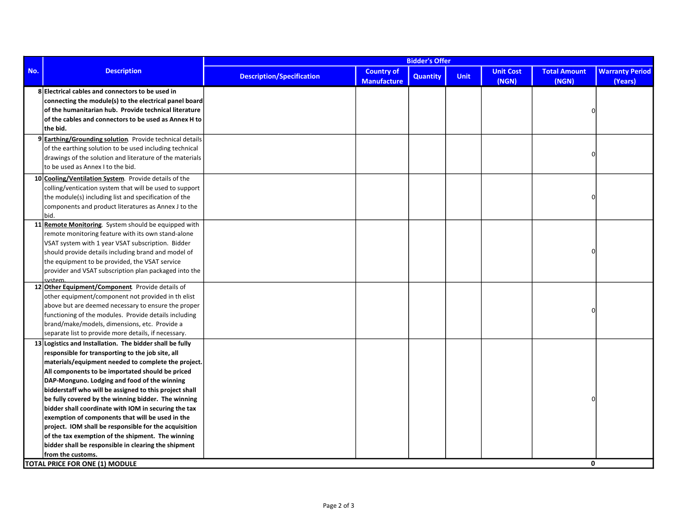|     | <b>Description</b>                                                                                                                                                                                                                                                                                                                                                                                                                                                                                                                                                                                                                                                                               | <b>Bidder's Offer</b>            |                                         |                 |             |                           |                              |                                   |
|-----|--------------------------------------------------------------------------------------------------------------------------------------------------------------------------------------------------------------------------------------------------------------------------------------------------------------------------------------------------------------------------------------------------------------------------------------------------------------------------------------------------------------------------------------------------------------------------------------------------------------------------------------------------------------------------------------------------|----------------------------------|-----------------------------------------|-----------------|-------------|---------------------------|------------------------------|-----------------------------------|
| No. |                                                                                                                                                                                                                                                                                                                                                                                                                                                                                                                                                                                                                                                                                                  | <b>Description/Specification</b> | <b>Country of</b><br><b>Manufacture</b> | <b>Quantity</b> | <b>Unit</b> | <b>Unit Cost</b><br>(NGN) | <b>Total Amount</b><br>(NGN) | <b>Warranty Period</b><br>(Years) |
|     | 8 Electrical cables and connectors to be used in<br>connecting the module(s) to the electrical panel board<br>of the humanitarian hub. Provide technical literature<br>of the cables and connectors to be used as Annex H to<br>the bid.                                                                                                                                                                                                                                                                                                                                                                                                                                                         |                                  |                                         |                 |             |                           | $\Omega$                     |                                   |
|     | 9 Earthing/Grounding solution. Provide technical details<br>of the earthing solution to be used including technical<br>drawings of the solution and literature of the materials<br>to be used as Annex I to the bid.                                                                                                                                                                                                                                                                                                                                                                                                                                                                             |                                  |                                         |                 |             |                           | $\Omega$                     |                                   |
|     | 10 Cooling/Ventilation System. Provide details of the<br>colling/ventication system that will be used to support<br>the module(s) including list and specification of the<br>components and product literatures as Annex J to the<br>bid.                                                                                                                                                                                                                                                                                                                                                                                                                                                        |                                  |                                         |                 |             |                           | $\Omega$                     |                                   |
|     | 11 Remote Monitoring. System should be equipped with<br>remote monitoring feature with its own stand-alone<br>VSAT system with 1 year VSAT subscription. Bidder<br>should provide details including brand and model of<br>the equipment to be provided, the VSAT service<br>provider and VSAT subscription plan packaged into the<br>system                                                                                                                                                                                                                                                                                                                                                      |                                  |                                         |                 |             |                           | $\Omega$                     |                                   |
|     | 12 Other Equipment/Component Provide details of<br>other equipment/component not provided in th elist<br>above but are deemed necessary to ensure the proper<br>functioning of the modules. Provide details including<br>brand/make/models, dimensions, etc. Provide a<br>separate list to provide more details, if necessary.                                                                                                                                                                                                                                                                                                                                                                   |                                  |                                         |                 |             |                           | $\Omega$                     |                                   |
|     | 13 Logistics and Installation. The bidder shall be fully<br>responsible for transporting to the job site, all<br>materials/equipment needed to complete the project.<br>All components to be importated should be priced<br>DAP-Monguno. Lodging and food of the winning<br>bidderstaff who will be assigned to this project shall<br>be fully covered by the winning bidder. The winning<br>bidder shall coordinate with IOM in securing the tax<br>exemption of components that will be used in the<br>project. IOM shall be responsible for the acquisition<br>of the tax exemption of the shipment. The winning<br>bidder shall be responsible in clearing the shipment<br>from the customs. |                                  |                                         |                 |             |                           | O                            |                                   |
|     | TOTAL PRICE FOR ONE (1) MODULE                                                                                                                                                                                                                                                                                                                                                                                                                                                                                                                                                                                                                                                                   |                                  |                                         |                 |             |                           | 0                            |                                   |